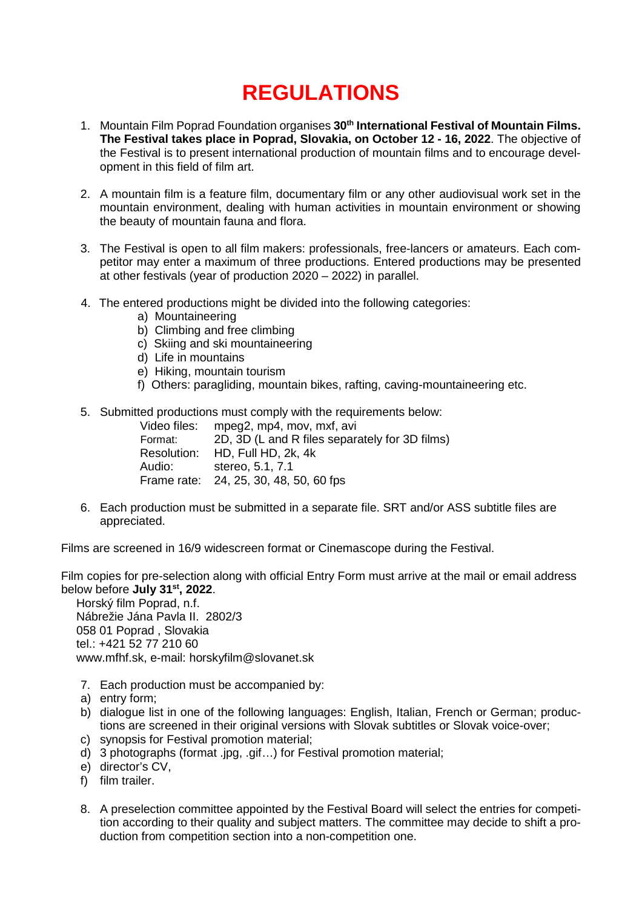## **REGULATIONS**

- 1. Mountain Film Poprad Foundation organises **30th International Festival of Mountain Films. The Festival takes place in Poprad, Slovakia, on October 12 - 16, 2022**. The objective of the Festival is to present international production of mountain films and to encourage development in this field of film art.
- 2. A mountain film is a feature film, documentary film or any other audiovisual work set in the mountain environment, dealing with human activities in mountain environment or showing the beauty of mountain fauna and flora.
- 3. The Festival is open to all film makers: professionals, free-lancers or amateurs. Each competitor may enter a maximum of three productions. Entered productions may be presented at other festivals (year of production 2020 – 2022) in parallel.
- 4. The entered productions might be divided into the following categories:
	- a) Mountaineering
	- b) Climbing and free climbing
	- c) Skiing and ski mountaineering
	- d) Life in mountains
	- e) Hiking, mountain tourism
	- f) Others: paragliding, mountain bikes, rafting, caving-mountaineering etc.
- 5. Submitted productions must comply with the requirements below:

|         | Video files: mpeg2, mp4, mov, mxf, avi         |
|---------|------------------------------------------------|
| Format: | 2D, 3D (L and R files separately for 3D films) |
|         | Resolution: HD, Full HD, 2k, 4k                |
| Audio:  | stereo. 5.1. 7.1                               |
|         | Frame rate: 24, 25, 30, 48, 50, 60 fps         |

6. Each production must be submitted in a separate file. SRT and/or ASS subtitle files are appreciated.

Films are screened in 16/9 widescreen format or Cinemascope during the Festival.

Film copies for pre-selection along with official Entry Form must arrive at the mail or email address below before **July 31st, 2022**.

Horský film Poprad, n.f. Nábrežie Jána Pavla II. 2802/3 058 01 Poprad , Slovakia tel.: +421 52 77 210 60 [www.mfhf.sk,](http://www.mfhf.sk/) e-mail: [horskyfilm@slovanet.sk](mailto:horskyfilm@slovanet.sk)

- 7. Each production must be accompanied by:
- a) entry form;
- b) dialogue list in one of the following languages: English, Italian, French or German; productions are screened in their original versions with Slovak subtitles or Slovak voice-over;
- c) synopsis for Festival promotion material;
- d) 3 photographs (format .jpg, .gif…) for Festival promotion material;
- e) director's CV,
- f) film trailer.
- 8. A preselection committee appointed by the Festival Board will select the entries for competition according to their quality and subject matters. The committee may decide to shift a production from competition section into a non-competition one.